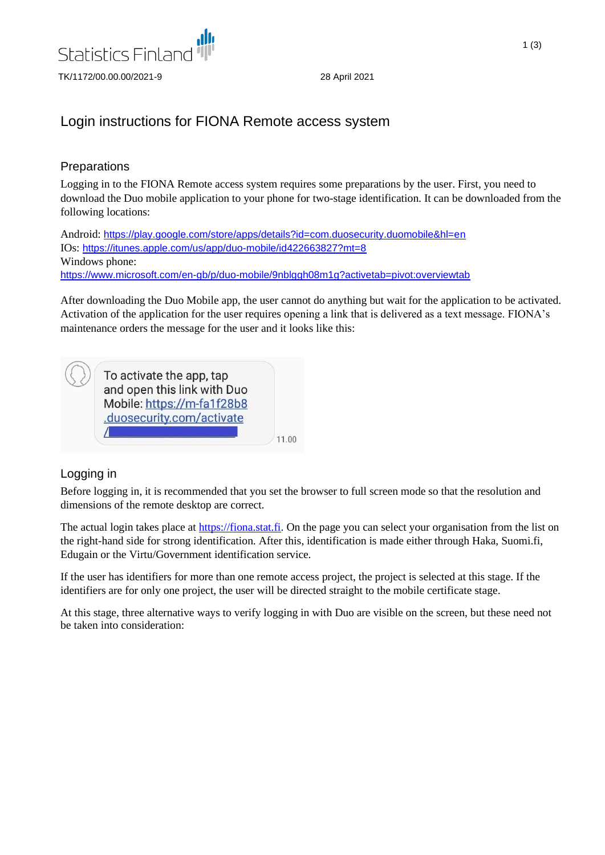

# Login instructions for FIONA Remote access system

### **Preparations**

Logging in to the FIONA Remote access system requires some preparations by the user. First, you need to download the Duo mobile application to your phone for two-stage identification. It can be downloaded from the following locations:

Android: <https://play.google.com/store/apps/details?id=com.duosecurity.duomobile&hl=en> IOs: <https://itunes.apple.com/us/app/duo-mobile/id422663827?mt=8> Windows phone: <https://www.microsoft.com/en-gb/p/duo-mobile/9nblggh08m1g?activetab=pivot:overviewtab>

After downloading the Duo Mobile app, the user cannot do anything but wait for the application to be activated. Activation of the application for the user requires opening a link that is delivered as a text message. FIONA's maintenance orders the message for the user and it looks like this:

To activate the app, tap and open this link with Duo Mobile: https://m-fa1f28b8 .duosecurity.com/activate  $\sqrt{2}$ 

11.00

## Logging in

Before logging in, it is recommended that you set the browser to full screen mode so that the resolution and dimensions of the remote desktop are correct.

The actual login takes place at [https://fiona.stat.fi.](https://fiona.stat.fi/) On the page you can select your organisation from the list on the right-hand side for strong identification. After this, identification is made either through Haka, Suomi.fi, Edugain or the Virtu/Government identification service.

If the user has identifiers for more than one remote access project, the project is selected at this stage. If the identifiers are for only one project, the user will be directed straight to the mobile certificate stage.

At this stage, three alternative ways to verify logging in with Duo are visible on the screen, but these need not be taken into consideration: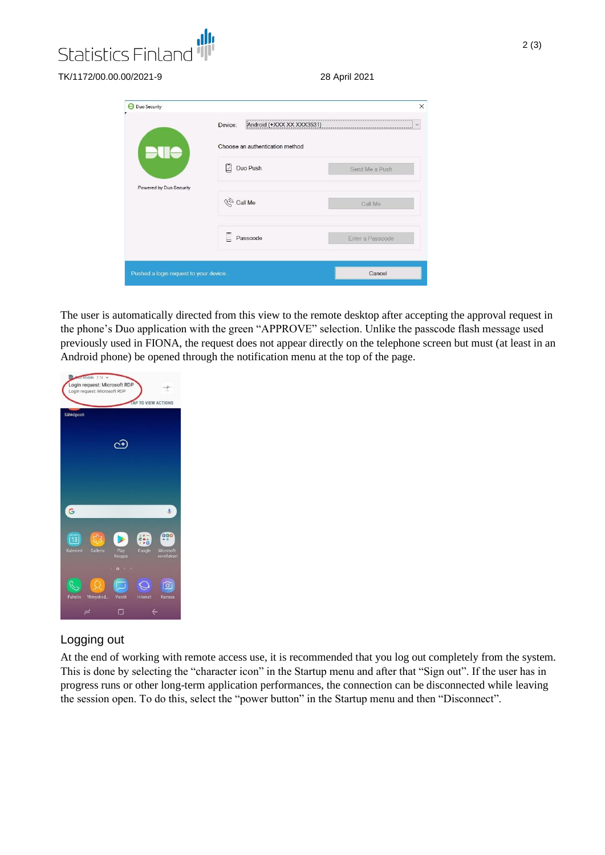

TK/1172/00.00.00/2021-9

|  | 28 April 2021 |  |
|--|---------------|--|
|  |               |  |

|                         | Android (+XXX XX XXX3531)<br>Device:<br>Choose an authentication method |                  |  |  |  |
|-------------------------|-------------------------------------------------------------------------|------------------|--|--|--|
|                         |                                                                         |                  |  |  |  |
|                         | Duo Push<br>D                                                           | Send Me a Push   |  |  |  |
| Powered by Duo Security | <b>(%)</b> Call Me                                                      | Call Me          |  |  |  |
|                         | E<br>Passcode                                                           | Enter a Passcode |  |  |  |

The user is automatically directed from this view to the remote desktop after accepting the approval request in the phone's Duo application with the green "APPROVE" selection. Unlike the passcode flash message used previously used in FIONA, the request does not appear directly on the telephone screen but must (at least in an Android phone) be opened through the notification menu at the top of the page.



#### Logging out

At the end of working with remote access use, it is recommended that you log out completely from the system. This is done by selecting the "character icon" in the Startup menu and after that "Sign out". If the user has in progress runs or other long-term application performances, the connection can be disconnected while leaving the session open. To do this, select the "power button" in the Startup menu and then "Disconnect".